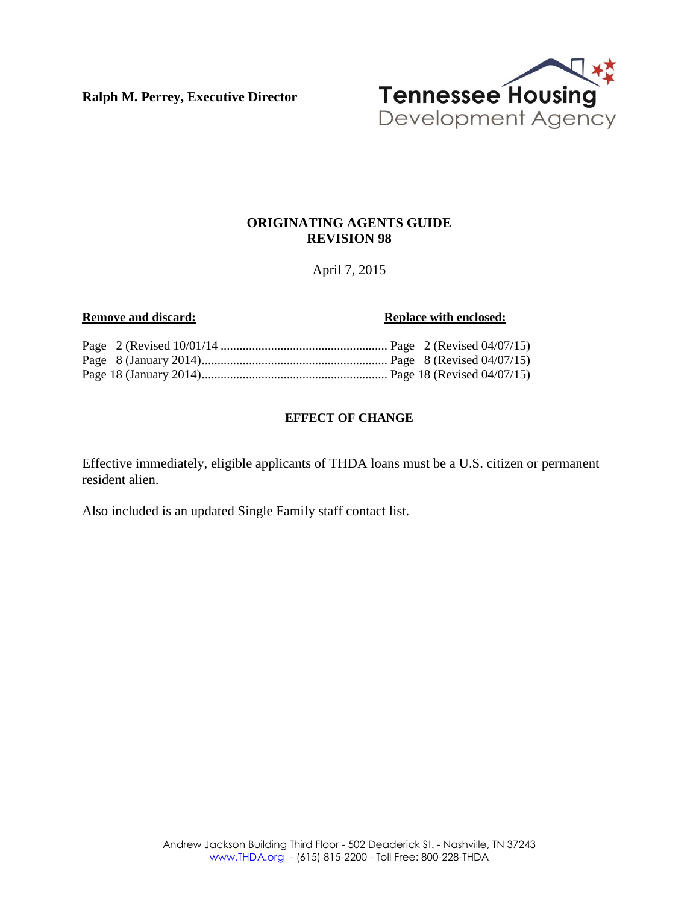**Ralph M. Perrey, Executive Director**



#### **ORIGINATING AGENTS GUIDE REVISION 98**

#### April 7, 2015

#### **Remove and discard: Replace with enclosed: Replace with enclosed:**

#### **EFFECT OF CHANGE**

Effective immediately, eligible applicants of THDA loans must be a U.S. citizen or permanent resident alien.

Also included is an updated Single Family staff contact list.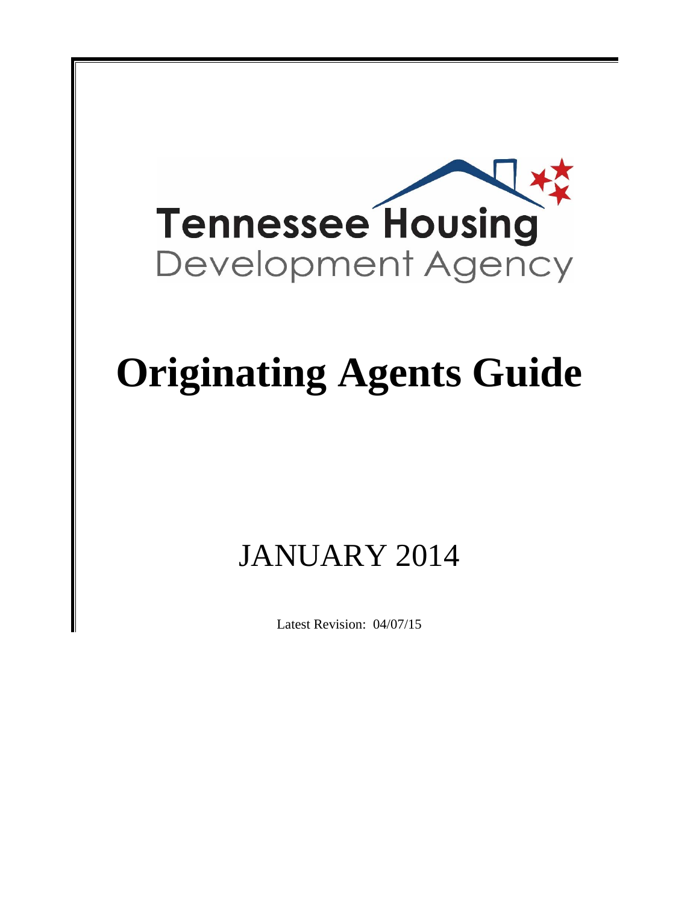

# **Originating Agents Guide**

## JANUARY 2014

Latest Revision: 04/07/15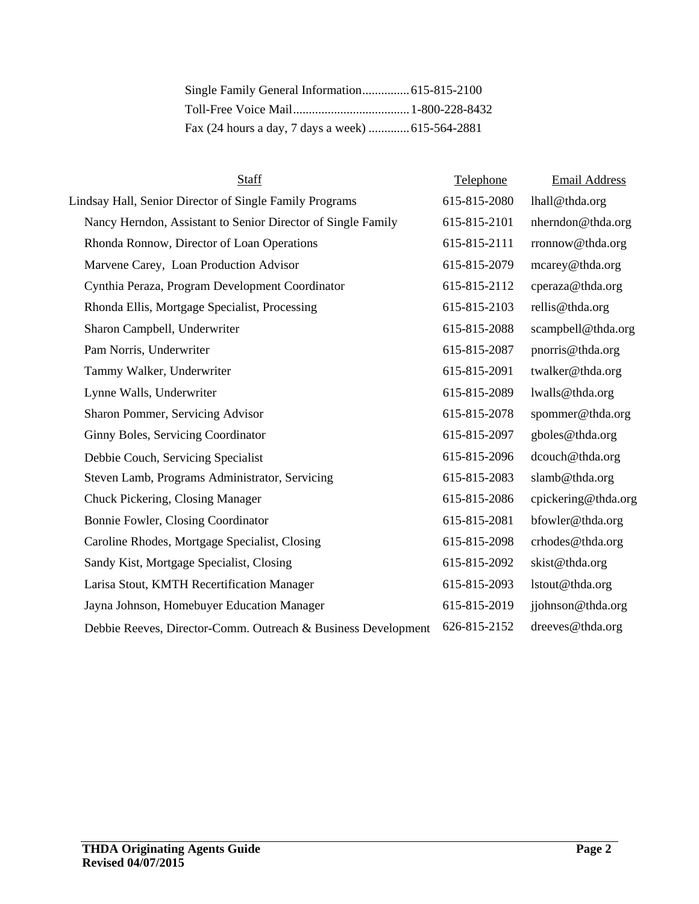| Staff                                                         | Telephone    | <b>Email Address</b> |
|---------------------------------------------------------------|--------------|----------------------|
| Lindsay Hall, Senior Director of Single Family Programs       | 615-815-2080 | lhall@thda.org       |
| Nancy Herndon, Assistant to Senior Director of Single Family  | 615-815-2101 | nherndon@thda.org    |
| Rhonda Ronnow, Director of Loan Operations                    | 615-815-2111 | rronnow@thda.org     |
| Marvene Carey, Loan Production Advisor                        | 615-815-2079 | mcarey@thda.org      |
| Cynthia Peraza, Program Development Coordinator               | 615-815-2112 | cperaza@thda.org     |
| Rhonda Ellis, Mortgage Specialist, Processing                 | 615-815-2103 | rellis@thda.org      |
| Sharon Campbell, Underwriter                                  | 615-815-2088 | scampbell@thda.org   |
| Pam Norris, Underwriter                                       | 615-815-2087 | pnorris@thda.org     |
| Tammy Walker, Underwriter                                     | 615-815-2091 | twalker@thda.org     |
| Lynne Walls, Underwriter                                      | 615-815-2089 | lwalls@thda.org      |
| Sharon Pommer, Servicing Advisor                              | 615-815-2078 | spommer@thda.org     |
| Ginny Boles, Servicing Coordinator                            | 615-815-2097 | gboles@thda.org      |
| Debbie Couch, Servicing Specialist                            | 615-815-2096 | dcouch@thda.org      |
| Steven Lamb, Programs Administrator, Servicing                | 615-815-2083 | slamb@thda.org       |
| Chuck Pickering, Closing Manager                              | 615-815-2086 | cpickering@thda.org  |
| Bonnie Fowler, Closing Coordinator                            | 615-815-2081 | bfowler@thda.org     |
| Caroline Rhodes, Mortgage Specialist, Closing                 | 615-815-2098 | crhodes@thda.org     |
| Sandy Kist, Mortgage Specialist, Closing                      | 615-815-2092 | skist@thda.org       |
| Larisa Stout, KMTH Recertification Manager                    | 615-815-2093 | lstout@thda.org      |
| Jayna Johnson, Homebuyer Education Manager                    | 615-815-2019 | jjohnson@thda.org    |
| Debbie Reeves, Director-Comm. Outreach & Business Development | 626-815-2152 | dreeves@thda.org     |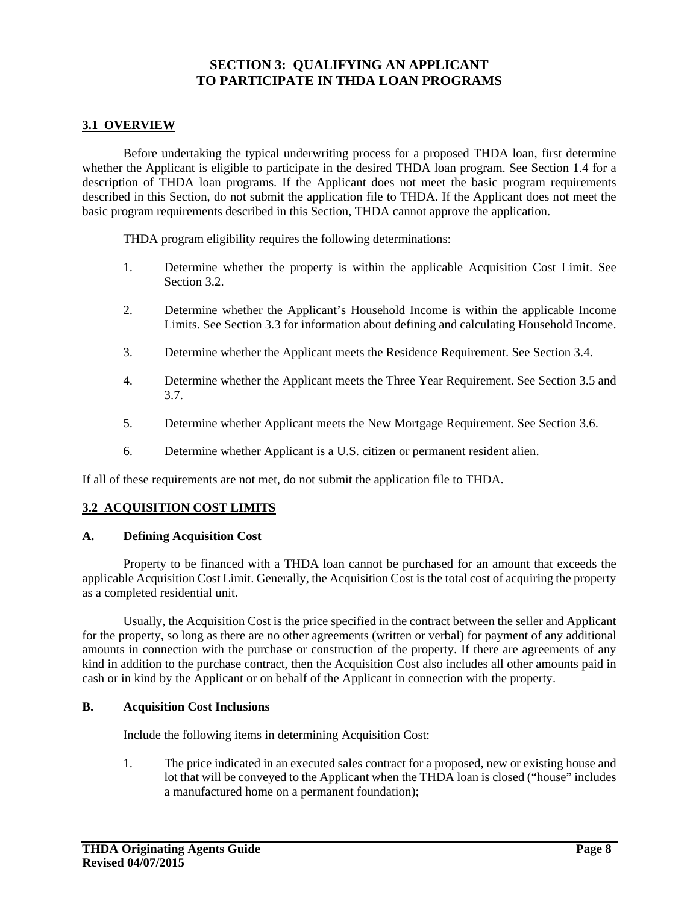### **SECTION 3: QUALIFYING AN APPLICANT TO PARTICIPATE IN THDA LOAN PROGRAMS**

#### **3.1 OVERVIEW**

Before undertaking the typical underwriting process for a proposed THDA loan, first determine whether the Applicant is eligible to participate in the desired THDA loan program. See Section 1.4 for a description of THDA loan programs. If the Applicant does not meet the basic program requirements described in this Section, do not submit the application file to THDA. If the Applicant does not meet the basic program requirements described in this Section, THDA cannot approve the application.

THDA program eligibility requires the following determinations:

- 1. Determine whether the property is within the applicable Acquisition Cost Limit. See Section 3.2.
- 2. Determine whether the Applicant's Household Income is within the applicable Income Limits. See Section 3.3 for information about defining and calculating Household Income.
- 3. Determine whether the Applicant meets the Residence Requirement. See Section 3.4.
- 4. Determine whether the Applicant meets the Three Year Requirement. See Section 3.5 and 3.7.
- 5. Determine whether Applicant meets the New Mortgage Requirement. See Section 3.6.
- 6. Determine whether Applicant is a U.S. citizen or permanent resident alien.

If all of these requirements are not met, do not submit the application file to THDA.

#### **3.2 ACQUISITION COST LIMITS**

#### **A. Defining Acquisition Cost**

Property to be financed with a THDA loan cannot be purchased for an amount that exceeds the applicable Acquisition Cost Limit. Generally, the Acquisition Cost is the total cost of acquiring the property as a completed residential unit.

Usually, the Acquisition Cost is the price specified in the contract between the seller and Applicant for the property, so long as there are no other agreements (written or verbal) for payment of any additional amounts in connection with the purchase or construction of the property. If there are agreements of any kind in addition to the purchase contract, then the Acquisition Cost also includes all other amounts paid in cash or in kind by the Applicant or on behalf of the Applicant in connection with the property.

#### **B. Acquisition Cost Inclusions**

Include the following items in determining Acquisition Cost:

1. The price indicated in an executed sales contract for a proposed, new or existing house and lot that will be conveyed to the Applicant when the THDA loan is closed ("house" includes a manufactured home on a permanent foundation);